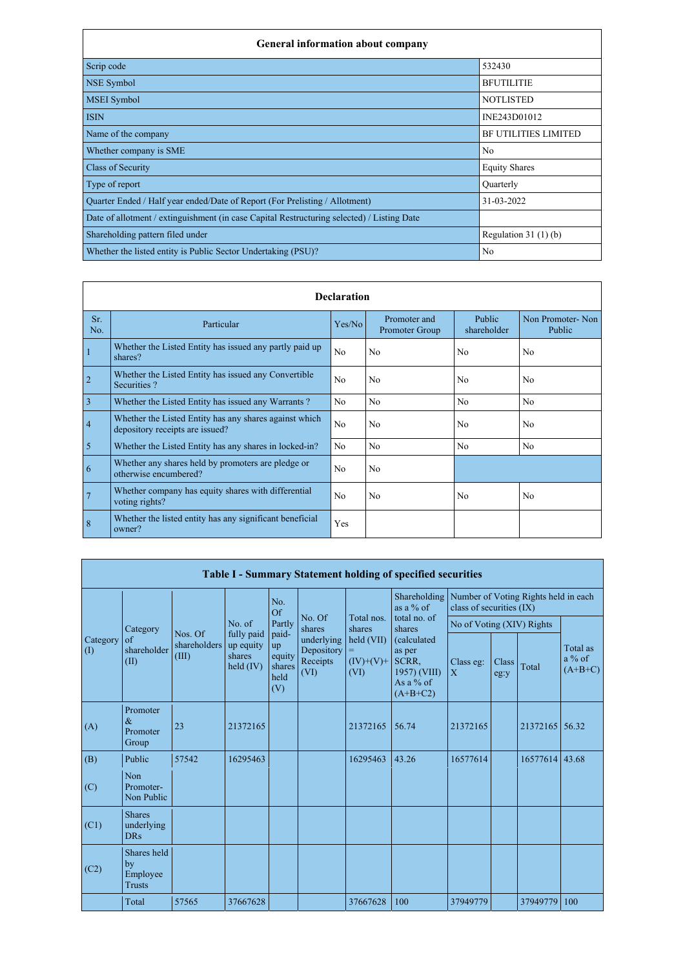| <b>General information about company</b>                                                   |                       |
|--------------------------------------------------------------------------------------------|-----------------------|
| Scrip code                                                                                 | 532430                |
| NSE Symbol                                                                                 | <b>BFUTILITIE</b>     |
| <b>MSEI</b> Symbol                                                                         | <b>NOTLISTED</b>      |
| <b>ISIN</b>                                                                                | INE243D01012          |
| Name of the company                                                                        | BF UTILITIES LIMITED  |
| Whether company is SME                                                                     | N <sub>o</sub>        |
| <b>Class of Security</b>                                                                   | <b>Equity Shares</b>  |
| Type of report                                                                             | Quarterly             |
| Quarter Ended / Half year ended/Date of Report (For Prelisting / Allotment)                | 31-03-2022            |
| Date of allotment / extinguishment (in case Capital Restructuring selected) / Listing Date |                       |
| Shareholding pattern filed under                                                           | Regulation $31(1)(b)$ |
| Whether the listed entity is Public Sector Undertaking (PSU)?                              | N <sub>o</sub>        |

|                |                                                                                           | <b>Declaration</b> |                                |                       |                            |
|----------------|-------------------------------------------------------------------------------------------|--------------------|--------------------------------|-----------------------|----------------------------|
| Sr.<br>No.     | Particular                                                                                | Yes/No             | Promoter and<br>Promoter Group | Public<br>shareholder | Non Promoter-Non<br>Public |
|                | Whether the Listed Entity has issued any partly paid up<br>shares?                        | N <sub>o</sub>     | N <sub>o</sub>                 | N <sub>o</sub>        | N <sub>o</sub>             |
| $\overline{2}$ | Whether the Listed Entity has issued any Convertible<br>Securities?                       | N <sub>o</sub>     | N <sub>o</sub>                 | N <sub>o</sub>        | N <sub>o</sub>             |
| $\overline{3}$ | Whether the Listed Entity has issued any Warrants?                                        | N <sub>o</sub>     | N <sub>o</sub>                 | N <sub>o</sub>        | N <sub>o</sub>             |
| $\overline{4}$ | Whether the Listed Entity has any shares against which<br>depository receipts are issued? | N <sub>o</sub>     | N <sub>o</sub>                 | N <sub>o</sub>        | N <sub>o</sub>             |
| 5              | Whether the Listed Entity has any shares in locked-in?                                    | No                 | N <sub>o</sub>                 | N <sub>o</sub>        | N <sub>o</sub>             |
| 6              | Whether any shares held by promoters are pledge or<br>otherwise encumbered?               | N <sub>o</sub>     | N <sub>o</sub>                 |                       |                            |
|                | Whether company has equity shares with differential<br>voting rights?                     | N <sub>o</sub>     | N <sub>o</sub>                 | No                    | N <sub>o</sub>             |
| 8              | Whether the listed entity has any significant beneficial<br>owner?                        | Yes                |                                |                       |                            |

|                 |                                                |                                  |                                                |                                                |                                              |                                          | <b>Table I - Summary Statement holding of specified securities</b>        |                           |               |                                      |                                   |
|-----------------|------------------------------------------------|----------------------------------|------------------------------------------------|------------------------------------------------|----------------------------------------------|------------------------------------------|---------------------------------------------------------------------------|---------------------------|---------------|--------------------------------------|-----------------------------------|
|                 |                                                |                                  |                                                | No.<br>Of                                      |                                              |                                          | Shareholding<br>as a % of                                                 | class of securities (IX)  |               | Number of Voting Rights held in each |                                   |
|                 | Category                                       |                                  | No. of                                         | Partly                                         | No. Of<br>shares                             | Total nos.<br>shares                     | total no. of<br>shares                                                    | No of Voting (XIV) Rights |               |                                      |                                   |
| Category<br>(1) | of<br>shareholder<br>(II)                      | Nos. Of<br>shareholders<br>(III) | fully paid<br>up equity<br>shares<br>held (IV) | paid-<br>up<br>equity<br>shares<br>held<br>(V) | underlying<br>Depository<br>Receipts<br>(VI) | held (VII)<br>$=$<br>$(IV)+(V)+$<br>(VI) | (calculated<br>as per<br>SCRR,<br>1957) (VIII)<br>As a % of<br>$(A+B+C2)$ | Class eg:<br>X            | Class<br>eg:y | Total                                | Total as<br>$a\%$ of<br>$(A+B+C)$ |
| (A)             | Promoter<br>$\&$<br>Promoter<br>Group          | 23                               | 21372165                                       |                                                |                                              | 21372165                                 | 56.74                                                                     | 21372165                  |               | 21372165                             | 56.32                             |
| (B)             | Public                                         | 57542                            | 16295463                                       |                                                |                                              | 16295463                                 | 43.26                                                                     | 16577614                  |               | 16577614                             | 43.68                             |
| (C)             | Non<br>Promoter-<br>Non Public                 |                                  |                                                |                                                |                                              |                                          |                                                                           |                           |               |                                      |                                   |
| (C1)            | <b>Shares</b><br>underlying<br><b>DRs</b>      |                                  |                                                |                                                |                                              |                                          |                                                                           |                           |               |                                      |                                   |
| (C2)            | Shares held<br>by<br>Employee<br><b>Trusts</b> |                                  |                                                |                                                |                                              |                                          |                                                                           |                           |               |                                      |                                   |
|                 | Total                                          | 57565                            | 37667628                                       |                                                |                                              | 37667628                                 | 100                                                                       | 37949779                  |               | 37949779                             | 100                               |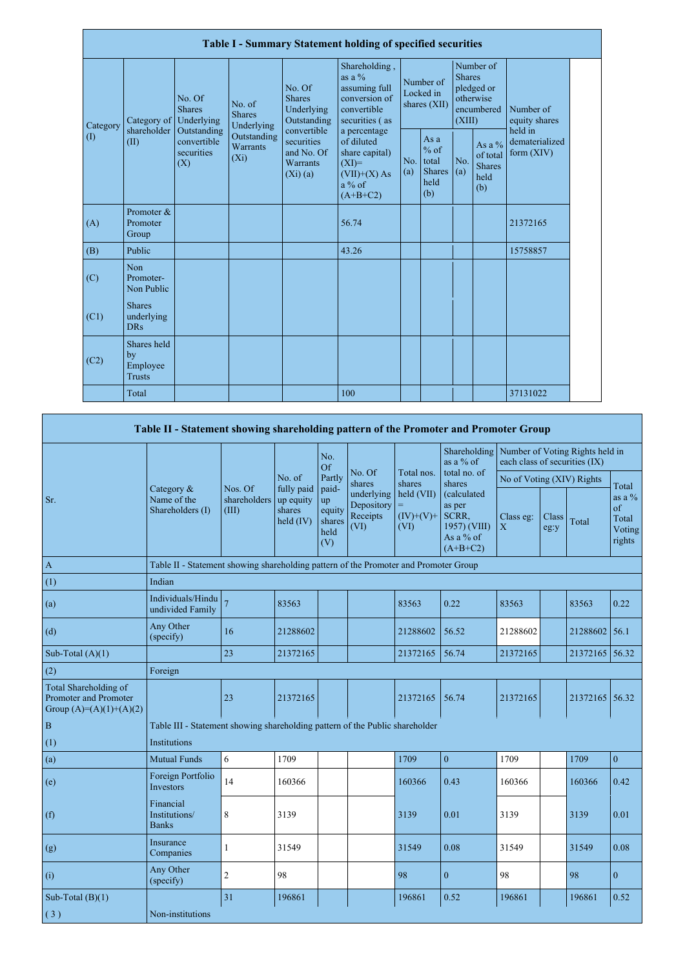|          |                                                |                                                 |                                       |                                                                | <b>Table I - Summary Statement holding of specified securities</b>                                  |            |                                                         |                         |                                                    |                                           |  |
|----------|------------------------------------------------|-------------------------------------------------|---------------------------------------|----------------------------------------------------------------|-----------------------------------------------------------------------------------------------------|------------|---------------------------------------------------------|-------------------------|----------------------------------------------------|-------------------------------------------|--|
| Category | Category of                                    | No. Of<br><b>Shares</b><br>Underlying           | No. of<br><b>Shares</b><br>Underlying | No. Of<br>Shares<br>Underlying<br>Outstanding                  | Shareholding,<br>as a $\%$<br>assuming full<br>conversion of<br>convertible<br>securities (as       |            | Number of<br>Locked in<br>shares (XII)                  | <b>Shares</b><br>(XIII) | Number of<br>pledged or<br>otherwise<br>encumbered | Number of<br>equity shares                |  |
| (1)      | shareholder<br>(II)                            | Outstanding<br>convertible<br>securities<br>(X) | Outstanding<br>Warrants<br>$(X_i)$    | convertible<br>securities<br>and No. Of<br>Warrants<br>(Xi)(a) | a percentage<br>of diluted<br>share capital)<br>$(XI)=$<br>$(VII)+(X)$ As<br>$a\%$ of<br>$(A+B+C2)$ | No.<br>(a) | As a<br>$%$ of<br>total<br><b>Shares</b><br>held<br>(b) | No.<br>(a)              | As a %<br>of total<br><b>Shares</b><br>held<br>(b) | held in<br>dematerialized<br>form $(XIV)$ |  |
| (A)      | Promoter &<br>Promoter<br>Group                |                                                 |                                       |                                                                | 56.74                                                                                               |            |                                                         |                         |                                                    | 21372165                                  |  |
| (B)      | Public                                         |                                                 |                                       |                                                                | 43.26                                                                                               |            |                                                         |                         |                                                    | 15758857                                  |  |
| (C)      | Non<br>Promoter-<br>Non Public                 |                                                 |                                       |                                                                |                                                                                                     |            |                                                         |                         |                                                    |                                           |  |
| (C1)     | <b>Shares</b><br>underlying<br><b>DRs</b>      |                                                 |                                       |                                                                |                                                                                                     |            |                                                         |                         |                                                    |                                           |  |
| (C2)     | Shares held<br>by<br>Employee<br><b>Trusts</b> |                                                 |                                       |                                                                |                                                                                                     |            |                                                         |                         |                                                    |                                           |  |
|          | Total                                          |                                                 |                                       |                                                                | 100                                                                                                 |            |                                                         |                         |                                                    | 37131022                                  |  |

## **Table II - Statement showing shareholding pattern of the Promoter and Promoter Group**

|                                                                                    |                                                                                      |                                  |                                                         | No.<br>Of                                      |                                              |                                    | Shareholding   Number of Voting Rights held in<br>as a % of               | each class of securities (IX) |               |                |                                              |
|------------------------------------------------------------------------------------|--------------------------------------------------------------------------------------|----------------------------------|---------------------------------------------------------|------------------------------------------------|----------------------------------------------|------------------------------------|---------------------------------------------------------------------------|-------------------------------|---------------|----------------|----------------------------------------------|
|                                                                                    |                                                                                      |                                  | No. of                                                  | Partly                                         | No. Of<br>shares                             | Total nos.<br>shares               | total no. of<br>shares                                                    | No of Voting (XIV) Rights     |               |                | Total                                        |
| Sr.                                                                                | Category &<br>Name of the<br>Shareholders (I)                                        | Nos. Of<br>shareholders<br>(III) | fully paid<br>up equity<br>shares<br>$\text{held (IV)}$ | paid-<br>up<br>equity<br>shares<br>held<br>(V) | underlying<br>Depository<br>Receipts<br>(VI) | held (VII)<br>$(IV)+(V)$ +<br>(VI) | (calculated<br>as per<br>SCRR,<br>1957) (VIII)<br>As a % of<br>$(A+B+C2)$ | Class eg:<br>X                | Class<br>eg:y | Total          | as a $\%$<br>of<br>Total<br>Voting<br>rights |
| $\,$ A $\,$                                                                        | Table II - Statement showing shareholding pattern of the Promoter and Promoter Group |                                  |                                                         |                                                |                                              |                                    |                                                                           |                               |               |                |                                              |
| (1)                                                                                | Indian                                                                               |                                  |                                                         |                                                |                                              |                                    |                                                                           |                               |               |                |                                              |
| (a)                                                                                | Individuals/Hindu<br>undivided Family                                                | $\overline{7}$                   | 83563                                                   |                                                |                                              | 83563                              | 0.22                                                                      | 83563                         |               | 83563          | 0.22                                         |
| (d)                                                                                | Any Other<br>(specify)                                                               | 16                               | 21288602                                                |                                                |                                              | 21288602                           | 56.52                                                                     | 21288602                      |               | 21288602       | 56.1                                         |
| Sub-Total $(A)(1)$                                                                 |                                                                                      | 23                               | 21372165                                                |                                                |                                              | 21372165                           | 56.74                                                                     | 21372165                      |               | 21372165 56.32 |                                              |
| (2)                                                                                | Foreign                                                                              |                                  |                                                         |                                                |                                              |                                    |                                                                           |                               |               |                |                                              |
| Total Shareholding of<br><b>Promoter and Promoter</b><br>Group $(A)=(A)(1)+(A)(2)$ |                                                                                      | 23                               | 21372165                                                |                                                |                                              | 21372165                           | 56.74                                                                     | 21372165                      |               | 21372165       | 56.32                                        |
| $\vert$ B                                                                          | Table III - Statement showing shareholding pattern of the Public shareholder         |                                  |                                                         |                                                |                                              |                                    |                                                                           |                               |               |                |                                              |
| (1)                                                                                | Institutions                                                                         |                                  |                                                         |                                                |                                              |                                    |                                                                           |                               |               |                |                                              |
| (a)                                                                                | <b>Mutual Funds</b>                                                                  | 6                                | 1709                                                    |                                                |                                              | 1709                               | $\mathbf{0}$                                                              | 1709                          |               | 1709           | $\mathbf{0}$                                 |
| (e)                                                                                | Foreign Portfolio<br>Investors                                                       | 14                               | 160366                                                  |                                                |                                              | 160366                             | 0.43                                                                      | 160366                        |               | 160366         | 0.42                                         |
| (f)                                                                                | Financial<br>Institutions/<br><b>Banks</b>                                           | $8\,$                            | 3139                                                    |                                                |                                              | 3139                               | 0.01                                                                      | 3139                          |               | 3139           | 0.01                                         |
| (g)                                                                                | Insurance<br>Companies                                                               |                                  | 31549                                                   |                                                |                                              | 31549                              | 0.08                                                                      | 31549                         |               | 31549          | 0.08                                         |
| (i)                                                                                | Any Other<br>(specify)                                                               | $\sqrt{2}$                       | 98                                                      |                                                |                                              | 98                                 | $\boldsymbol{0}$                                                          | 98                            |               | 98             | $\boldsymbol{0}$                             |
| Sub-Total $(B)(1)$                                                                 |                                                                                      | 31                               | 196861                                                  |                                                |                                              | 196861                             | 0.52                                                                      | 196861                        |               | 196861         | 0.52                                         |
| (3)                                                                                | Non-institutions                                                                     |                                  |                                                         |                                                |                                              |                                    |                                                                           |                               |               |                |                                              |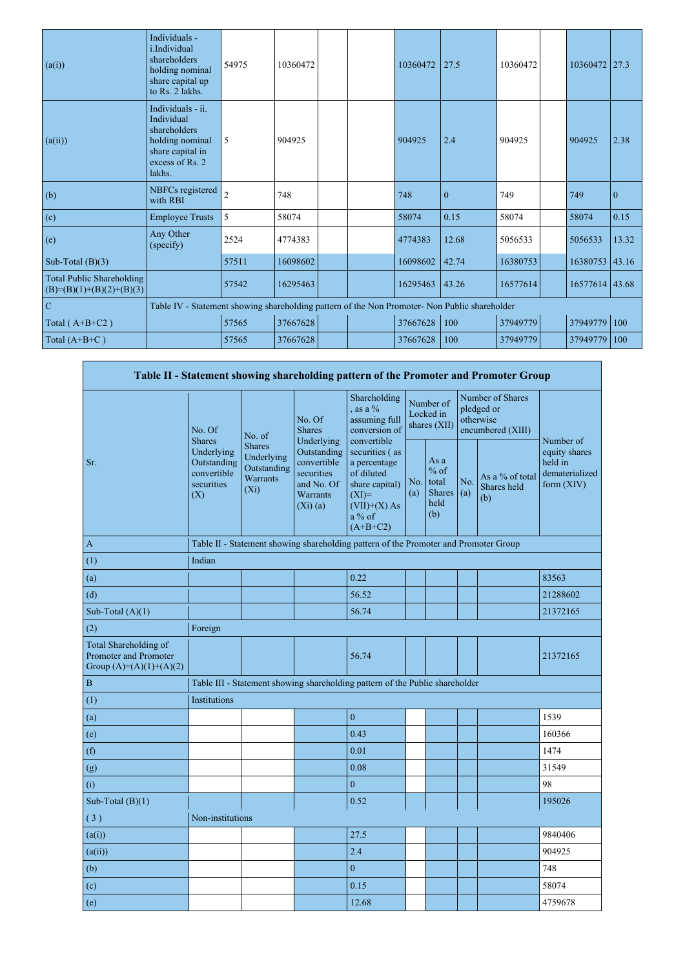| (a(i))                                                         | Individuals -<br>i.Individual<br>shareholders<br>holding nominal<br>share capital up<br>to Rs. 2 lakhs.             | 54975          | 10360472 |  | 10360472 | 27.5         | 10360472 | 10360472       | 27.3         |
|----------------------------------------------------------------|---------------------------------------------------------------------------------------------------------------------|----------------|----------|--|----------|--------------|----------|----------------|--------------|
| (a(ii))                                                        | Individuals - ii.<br>Individual<br>shareholders<br>holding nominal<br>share capital in<br>excess of Rs. 2<br>lakhs. | 5              | 904925   |  | 904925   | 2.4          | 904925   | 904925         | 2.38         |
| (b)                                                            | NBFCs registered<br>with RBI                                                                                        | $\overline{2}$ | 748      |  | 748      | $\mathbf{0}$ | 749      | 749            | $\mathbf{0}$ |
| (c)                                                            | <b>Employee Trusts</b>                                                                                              | 5              | 58074    |  | 58074    | 0.15         | 58074    | 58074          | 0.15         |
| (e)                                                            | Any Other<br>(specify)                                                                                              | 2524           | 4774383  |  | 4774383  | 12.68        | 5056533  | 5056533        | 13.32        |
| Sub-Total $(B)(3)$                                             |                                                                                                                     | 57511          | 16098602 |  | 16098602 | 42.74        | 16380753 | 16380753 43.16 |              |
| <b>Total Public Shareholding</b><br>$(B)=(B)(1)+(B)(2)+(B)(3)$ |                                                                                                                     | 57542          | 16295463 |  | 16295463 | 43.26        | 16577614 | 16577614 43.68 |              |
| $\overline{C}$                                                 | Table IV - Statement showing shareholding pattern of the Non Promoter- Non Public shareholder                       |                |          |  |          |              |          |                |              |
| Total $(A+B+C2)$                                               |                                                                                                                     | 57565          | 37667628 |  | 37667628 | 100          | 37949779 | 37949779       | 100          |
| Total $(A+B+C)$                                                |                                                                                                                     | 57565          | 37667628 |  | 37667628 | 100          | 37949779 | 37949779       | 100          |

|                                                                             |                                                                                |                                                                   |                                                                                                    |                                                                                                                                      |            |                                                    |            | Table II - Statement showing shareholding pattern of the Promoter and Promoter Group |                                                                         |
|-----------------------------------------------------------------------------|--------------------------------------------------------------------------------|-------------------------------------------------------------------|----------------------------------------------------------------------------------------------------|--------------------------------------------------------------------------------------------------------------------------------------|------------|----------------------------------------------------|------------|--------------------------------------------------------------------------------------|-------------------------------------------------------------------------|
|                                                                             | No. Of                                                                         | No. of                                                            | No. Of<br><b>Shares</b>                                                                            | Shareholding<br>, as a $\%$<br>assuming full<br>conversion of                                                                        |            | Number of<br>Locked in<br>shares (XII)             |            | Number of Shares<br>pledged or<br>otherwise<br>encumbered (XIII)                     |                                                                         |
| Sr.                                                                         | <b>Shares</b><br>Underlying<br>Outstanding<br>convertible<br>securities<br>(X) | <b>Shares</b><br>Underlying<br>Outstanding<br>Warrants<br>$(X_i)$ | Underlying<br>Outstanding<br>convertible<br>securities<br>and No. Of<br><b>Warrants</b><br>(Xi)(a) | convertible<br>securities (as<br>a percentage<br>of diluted<br>share capital)<br>$(XI)=$<br>$(VII)+(X)$ As<br>$a\%$ of<br>$(A+B+C2)$ | No.<br>(a) | As a<br>$%$ of<br>total<br>Shares  <br>held<br>(b) | No.<br>(a) | As a % of total<br>Shares held<br>(b)                                                | Number of<br>equity shares<br>held in<br>dematerialized<br>form $(XIV)$ |
| $\mathbf{A}$                                                                |                                                                                |                                                                   |                                                                                                    | Table II - Statement showing shareholding pattern of the Promoter and Promoter Group                                                 |            |                                                    |            |                                                                                      |                                                                         |
| (1)                                                                         | Indian                                                                         |                                                                   |                                                                                                    |                                                                                                                                      |            |                                                    |            |                                                                                      |                                                                         |
| (a)                                                                         |                                                                                |                                                                   |                                                                                                    | 0.22                                                                                                                                 |            |                                                    |            |                                                                                      | 83563                                                                   |
| (d)                                                                         |                                                                                |                                                                   |                                                                                                    | 56.52                                                                                                                                |            |                                                    |            |                                                                                      | 21288602                                                                |
| Sub-Total $(A)(1)$                                                          |                                                                                |                                                                   |                                                                                                    | 56.74                                                                                                                                |            |                                                    |            |                                                                                      | 21372165                                                                |
| (2)                                                                         | Foreign                                                                        |                                                                   |                                                                                                    |                                                                                                                                      |            |                                                    |            |                                                                                      |                                                                         |
| Total Shareholding of<br>Promoter and Promoter<br>Group $(A)=(A)(1)+(A)(2)$ |                                                                                |                                                                   |                                                                                                    | 56.74                                                                                                                                |            |                                                    |            |                                                                                      | 21372165                                                                |
| $\, {\bf B}$                                                                |                                                                                |                                                                   |                                                                                                    | Table III - Statement showing shareholding pattern of the Public shareholder                                                         |            |                                                    |            |                                                                                      |                                                                         |
| (1)                                                                         | <b>Institutions</b>                                                            |                                                                   |                                                                                                    |                                                                                                                                      |            |                                                    |            |                                                                                      |                                                                         |
| (a)                                                                         |                                                                                |                                                                   |                                                                                                    | $\boldsymbol{0}$                                                                                                                     |            |                                                    |            |                                                                                      | 1539                                                                    |
| (e)                                                                         |                                                                                |                                                                   |                                                                                                    | 0.43                                                                                                                                 |            |                                                    |            |                                                                                      | 160366                                                                  |
| (f)                                                                         |                                                                                |                                                                   |                                                                                                    | 0.01                                                                                                                                 |            |                                                    |            |                                                                                      | 1474                                                                    |
| (g)                                                                         |                                                                                |                                                                   |                                                                                                    | 0.08                                                                                                                                 |            |                                                    |            |                                                                                      | 31549                                                                   |
| (i)                                                                         |                                                                                |                                                                   |                                                                                                    | $\boldsymbol{0}$                                                                                                                     |            |                                                    |            |                                                                                      | 98                                                                      |
| Sub-Total $(B)(1)$                                                          |                                                                                |                                                                   |                                                                                                    | 0.52                                                                                                                                 |            |                                                    |            |                                                                                      | 195026                                                                  |
| (3)                                                                         | Non-institutions                                                               |                                                                   |                                                                                                    |                                                                                                                                      |            |                                                    |            |                                                                                      |                                                                         |
| (a(i))                                                                      |                                                                                |                                                                   |                                                                                                    | 27.5                                                                                                                                 |            |                                                    |            |                                                                                      | 9840406                                                                 |
| (a(ii))                                                                     |                                                                                |                                                                   |                                                                                                    | 2.4                                                                                                                                  |            |                                                    |            |                                                                                      | 904925                                                                  |
| (b)                                                                         |                                                                                |                                                                   |                                                                                                    | $\boldsymbol{0}$                                                                                                                     |            |                                                    |            |                                                                                      | 748                                                                     |
| (c)                                                                         |                                                                                |                                                                   |                                                                                                    | 0.15                                                                                                                                 |            |                                                    |            |                                                                                      | 58074                                                                   |
| (e)                                                                         |                                                                                |                                                                   |                                                                                                    | 12.68                                                                                                                                |            |                                                    |            |                                                                                      | 4759678                                                                 |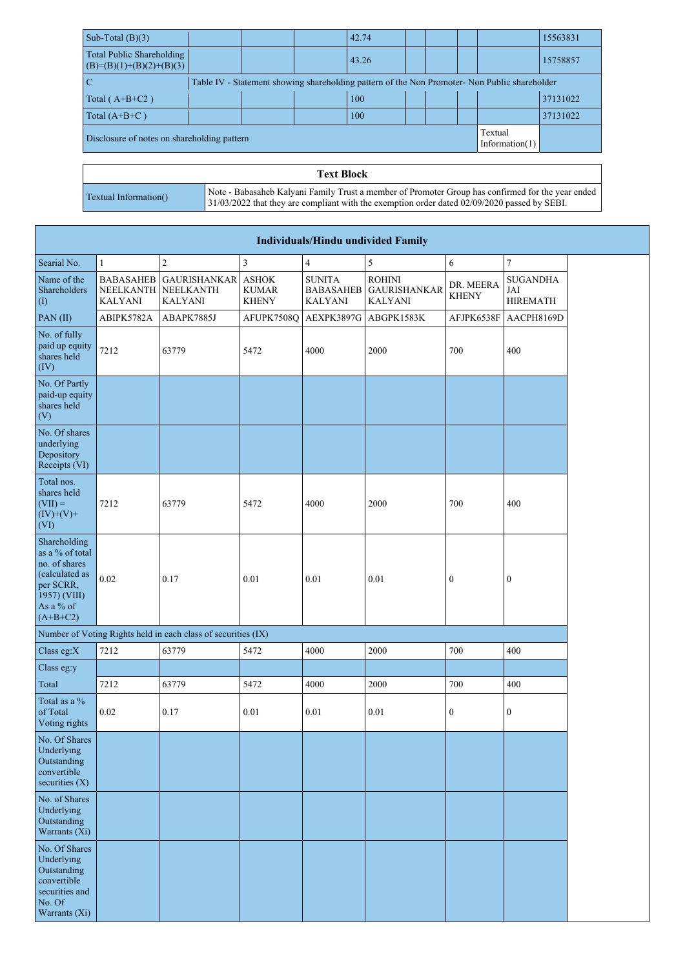| Sub-Total $(B)(3)$                                      |  | 42.74 |  |                                                                                               | 15563831 |
|---------------------------------------------------------|--|-------|--|-----------------------------------------------------------------------------------------------|----------|
| Total Public Shareholding<br>$(B)=(B)(1)+(B)(2)+(B)(3)$ |  | 43.26 |  |                                                                                               | 15758857 |
| $\overline{\mathbf{C}}$                                 |  |       |  | Table IV - Statement showing shareholding pattern of the Non Promoter- Non Public shareholder |          |
| Total $(A+B+C2)$                                        |  | 100   |  |                                                                                               | 37131022 |
| Total $(A+B+C)$                                         |  | 100   |  |                                                                                               | 37131022 |
| Disclosure of notes on shareholding pattern             |  |       |  | Textual<br>Information $(1)$                                                                  |          |

|                       | <b>Text Block</b>                                                                                                                                                                                   |
|-----------------------|-----------------------------------------------------------------------------------------------------------------------------------------------------------------------------------------------------|
| Textual Information() | Note - Babasaheb Kalyani Family Trust a member of Promoter Group has confirmed for the year ended<br>$31/03/2022$ that they are compliant with the exemption order dated 02/09/2020 passed by SEBI. |

|                                                                                                                            |                                                        |                                                               |                              |                                                     | <b>Individuals/Hindu undivided Family</b>              |                           |                                           |
|----------------------------------------------------------------------------------------------------------------------------|--------------------------------------------------------|---------------------------------------------------------------|------------------------------|-----------------------------------------------------|--------------------------------------------------------|---------------------------|-------------------------------------------|
| Searial No.                                                                                                                |                                                        | $\overline{2}$                                                | $\mathfrak{Z}$               | $\overline{4}$                                      | 5                                                      | 6                         | $\overline{7}$                            |
| Name of the<br>Shareholders<br>$\left( \mathrm{I}\right)$                                                                  | <b>BABASAHEB</b><br><b>NEELKANTH</b><br><b>KALYANI</b> | <b>GAURISHANKAR ASHOK</b><br>NEELKANTH<br><b>KALYANI</b>      | <b>KUMAR</b><br><b>KHENY</b> | <b>SUNITA</b><br><b>BABASAHEB</b><br><b>KALYANI</b> | <b>ROHINI</b><br><b>GAURISHANKAR</b><br><b>KALYANI</b> | DR. MEERA<br><b>KHENY</b> | <b>SUGANDHA</b><br>JAI<br><b>HIREMATH</b> |
| PAN(II)                                                                                                                    | ABIPK5782A                                             | ABAPK7885J                                                    |                              |                                                     | AFUPK7508Q AEXPK3897G ABGPK1583K                       | AFJPK6538F                | AACPH8169D                                |
| No. of fully<br>paid up equity<br>shares held<br>(IV)                                                                      | 7212                                                   | 63779                                                         | 5472                         | 4000                                                | 2000                                                   | 700                       | 400                                       |
| No. Of Partly<br>paid-up equity<br>shares held<br>(V)                                                                      |                                                        |                                                               |                              |                                                     |                                                        |                           |                                           |
| No. Of shares<br>underlying<br>Depository<br>Receipts (VI)                                                                 |                                                        |                                                               |                              |                                                     |                                                        |                           |                                           |
| Total nos.<br>shares held<br>$(VII) =$<br>$(IV)+(V)+$<br>(VI)                                                              | 7212                                                   | 63779                                                         | 5472                         | 4000                                                | 2000                                                   | 700                       | 400                                       |
| Shareholding<br>as a % of total<br>no. of shares<br>(calculated as<br>per SCRR,<br>1957) (VIII)<br>As a % of<br>$(A+B+C2)$ | 0.02                                                   | 0.17                                                          | 0.01                         | 0.01                                                | 0.01                                                   | $\boldsymbol{0}$          | $\boldsymbol{0}$                          |
|                                                                                                                            |                                                        | Number of Voting Rights held in each class of securities (IX) |                              |                                                     |                                                        |                           |                                           |
| Class eg: $X$                                                                                                              | 7212                                                   | 63779                                                         | 5472                         | 4000                                                | 2000                                                   | 700                       | 400                                       |
| Class eg:y                                                                                                                 |                                                        |                                                               |                              |                                                     |                                                        |                           |                                           |
| Total                                                                                                                      | 7212                                                   | 63779                                                         | 5472                         | 4000                                                | 2000                                                   | 700                       | 400                                       |
| Total as a %<br>of Total<br>Voting rights                                                                                  | 0.02                                                   | 0.17                                                          | 0.01                         | 0.01                                                | 0.01                                                   | $\boldsymbol{0}$          | $\boldsymbol{0}$                          |
| No. Of Shares<br>Underlying<br>Outstanding<br>convertible<br>securities $(X)$                                              |                                                        |                                                               |                              |                                                     |                                                        |                           |                                           |
| No. of Shares<br>Underlying<br>Outstanding<br>Warrants $(X_i)$                                                             |                                                        |                                                               |                              |                                                     |                                                        |                           |                                           |
| No. Of Shares<br>Underlying<br>Outstanding<br>convertible<br>securities and<br>No. Of<br>Warrants (Xi)                     |                                                        |                                                               |                              |                                                     |                                                        |                           |                                           |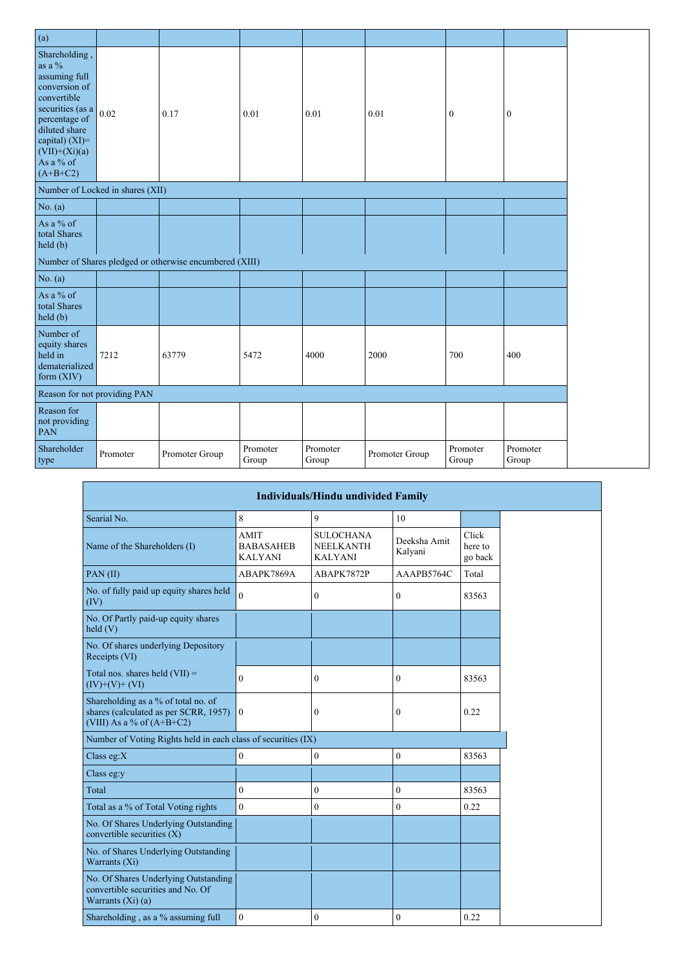| (a)                                                                                                                                                                                                 |                                  |                                                         |                   |                   |                |                   |                   |
|-----------------------------------------------------------------------------------------------------------------------------------------------------------------------------------------------------|----------------------------------|---------------------------------------------------------|-------------------|-------------------|----------------|-------------------|-------------------|
| Shareholding,<br>as a $\%$<br>assuming full<br>conversion of<br>convertible<br>securities (as a<br>percentage of<br>diluted share<br>capital) $(XI)=$<br>$(VII)+(Xi)(a)$<br>As a % of<br>$(A+B+C2)$ | 0.02                             | 0.17                                                    | 0.01              | 0.01              | 0.01           | $\boldsymbol{0}$  | $\boldsymbol{0}$  |
|                                                                                                                                                                                                     | Number of Locked in shares (XII) |                                                         |                   |                   |                |                   |                   |
| No. $(a)$                                                                                                                                                                                           |                                  |                                                         |                   |                   |                |                   |                   |
| As a % of<br>total Shares<br>held(b)                                                                                                                                                                |                                  |                                                         |                   |                   |                |                   |                   |
|                                                                                                                                                                                                     |                                  | Number of Shares pledged or otherwise encumbered (XIII) |                   |                   |                |                   |                   |
| No. (a)                                                                                                                                                                                             |                                  |                                                         |                   |                   |                |                   |                   |
| As a % of<br>total Shares<br>held(b)                                                                                                                                                                |                                  |                                                         |                   |                   |                |                   |                   |
| Number of<br>equity shares<br>held in<br>dematerialized<br>form (XIV)                                                                                                                               | 7212                             | 63779                                                   | 5472              | 4000              | 2000           | 700               | 400               |
|                                                                                                                                                                                                     | Reason for not providing PAN     |                                                         |                   |                   |                |                   |                   |
| Reason for<br>not providing<br><b>PAN</b>                                                                                                                                                           |                                  |                                                         |                   |                   |                |                   |                   |
| Shareholder<br>type                                                                                                                                                                                 | Promoter                         | Promoter Group                                          | Promoter<br>Group | Promoter<br>Group | Promoter Group | Promoter<br>Group | Promoter<br>Group |

|                                                                                                                         |                                                   | <b>Individuals/Hindu undivided Family</b>              |                         |                             |
|-------------------------------------------------------------------------------------------------------------------------|---------------------------------------------------|--------------------------------------------------------|-------------------------|-----------------------------|
| Searial No.                                                                                                             | 8                                                 | 9                                                      | 10                      |                             |
| Name of the Shareholders (I)                                                                                            | <b>AMIT</b><br><b>BABASAHEB</b><br><b>KALYANI</b> | <b>SULOCHANA</b><br><b>NEELKANTH</b><br><b>KALYANI</b> | Deeksha Amit<br>Kalyani | Click<br>here to<br>go back |
| $PAN$ (II)                                                                                                              | ABAPK7869A                                        | ABAPK7872P                                             | AAAPB5764C              | Total                       |
| No. of fully paid up equity shares held<br>(IV)                                                                         | $\theta$                                          | $\boldsymbol{0}$                                       | $\mathbf{0}$            | 83563                       |
| No. Of Partly paid-up equity shares<br>$\text{held}(V)$                                                                 |                                                   |                                                        |                         |                             |
| No. Of shares underlying Depository<br>Receipts (VI)                                                                    |                                                   |                                                        |                         |                             |
| Total nos. shares held $(VII)$ =<br>$(IV)+(V)+(VI)$                                                                     | $\theta$                                          | $\boldsymbol{0}$                                       | $\mathbf{0}$            | 83563                       |
| Shareholding as a % of total no. of<br>shares (calculated as per SCRR, 1957) $\boxed{0}$<br>(VIII) As a % of $(A+B+C2)$ |                                                   | $\boldsymbol{0}$                                       | $\overline{0}$          | 0.22                        |
| Number of Voting Rights held in each class of securities (IX)                                                           |                                                   |                                                        |                         |                             |
| Class eg: $X$                                                                                                           | $\boldsymbol{0}$                                  | $\boldsymbol{0}$                                       | $\boldsymbol{0}$        | 83563                       |
| Class eg:y                                                                                                              |                                                   |                                                        |                         |                             |
| Total                                                                                                                   | $\mathbf{0}$                                      | $\boldsymbol{0}$                                       | $\mathbf{0}$            | 83563                       |
| Total as a % of Total Voting rights                                                                                     | $\theta$                                          | $\mathbf{0}$                                           | $\mathbf{0}$            | 0.22                        |
| No. Of Shares Underlying Outstanding<br>convertible securities $(X)$                                                    |                                                   |                                                        |                         |                             |
| No. of Shares Underlying Outstanding<br>Warrants (Xi)                                                                   |                                                   |                                                        |                         |                             |
| No. Of Shares Underlying Outstanding<br>convertible securities and No. Of<br>Warrants $(Xi)$ (a)                        |                                                   |                                                        |                         |                             |
| Shareholding, as a % assuming full                                                                                      | $\mathbf{0}$                                      | $\boldsymbol{0}$                                       | $\boldsymbol{0}$        | 0.22                        |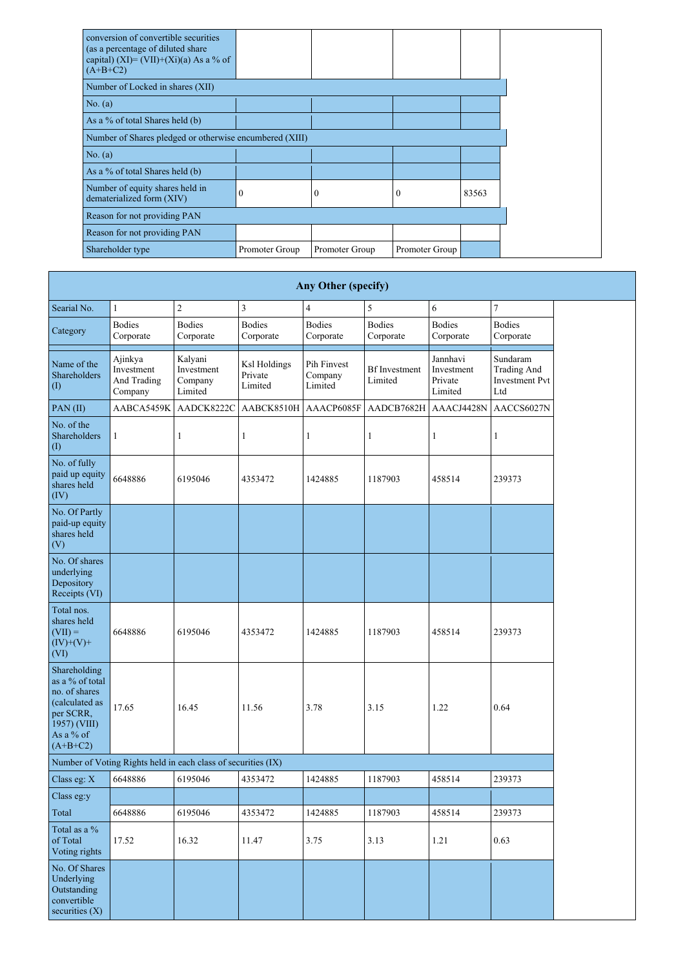| conversion of convertible securities<br>(as a percentage of diluted share<br>capital) (XI)= (VII)+(Xi)(a) As a % of<br>$(A+B+C2)$ |                  |                |                  |       |  |  |  |  |  |  |  |
|-----------------------------------------------------------------------------------------------------------------------------------|------------------|----------------|------------------|-------|--|--|--|--|--|--|--|
| Number of Locked in shares (XII)                                                                                                  |                  |                |                  |       |  |  |  |  |  |  |  |
| No. (a)                                                                                                                           |                  |                |                  |       |  |  |  |  |  |  |  |
| As a % of total Shares held (b)                                                                                                   |                  |                |                  |       |  |  |  |  |  |  |  |
| Number of Shares pledged or otherwise encumbered (XIII)                                                                           |                  |                |                  |       |  |  |  |  |  |  |  |
| No. (a)                                                                                                                           |                  |                |                  |       |  |  |  |  |  |  |  |
| As a % of total Shares held (b)                                                                                                   |                  |                |                  |       |  |  |  |  |  |  |  |
| Number of equity shares held in<br>dematerialized form (XIV)                                                                      | $\boldsymbol{0}$ | $\overline{0}$ | $\boldsymbol{0}$ | 83563 |  |  |  |  |  |  |  |
| Reason for not providing PAN                                                                                                      |                  |                |                  |       |  |  |  |  |  |  |  |
| Reason for not providing PAN                                                                                                      |                  |                |                  |       |  |  |  |  |  |  |  |
| Shareholder type                                                                                                                  | Promoter Group   | Promoter Group | Promoter Group   |       |  |  |  |  |  |  |  |

|                                                                                                                            |                                                 |                                                                                   |                            | <b>Any Other (specify)</b>                                           |                            |                                              |                                                                |
|----------------------------------------------------------------------------------------------------------------------------|-------------------------------------------------|-----------------------------------------------------------------------------------|----------------------------|----------------------------------------------------------------------|----------------------------|----------------------------------------------|----------------------------------------------------------------|
| Searial No.                                                                                                                | 1                                               | $\overline{2}$                                                                    | 3                          | $\overline{4}$                                                       | 5                          | 6                                            | $\overline{7}$                                                 |
| Category                                                                                                                   | <b>Bodies</b><br>Corporate                      | <b>Bodies</b><br>Corporate                                                        | <b>Bodies</b><br>Corporate | <b>Bodies</b><br>Corporate                                           | <b>Bodies</b><br>Corporate | <b>Bodies</b><br>Corporate                   | <b>Bodies</b><br>Corporate                                     |
| Name of the<br>Shareholders<br>$\left( \mathrm{I}\right)$                                                                  | Ajinkya<br>Investment<br>And Trading<br>Company | Kalyani<br>Ksl Holdings<br>Investment<br>Private<br>Company<br>Limited<br>Limited |                            | Pih Finvest<br><b>Bf</b> Investment<br>Company<br>Limited<br>Limited |                            | Jannhavi<br>Investment<br>Private<br>Limited | Sundaram<br><b>Trading And</b><br><b>Investment Pvt</b><br>Ltd |
| $PAN$ (II)                                                                                                                 | AABCA5459K                                      | AADCK8222C                                                                        | AABCK8510H                 | AAACP6085F                                                           | AADCB7682H                 | AAACJ4428N                                   | AACCS6027N                                                     |
| No. of the<br>Shareholders<br>$\left( \mathrm{I}\right)$                                                                   |                                                 |                                                                                   |                            |                                                                      |                            |                                              |                                                                |
| No. of fully<br>paid up equity<br>shares held<br>(IV)                                                                      | 6648886                                         | 6195046                                                                           | 4353472                    | 1424885                                                              | 1187903                    | 458514                                       | 239373                                                         |
| No. Of Partly<br>paid-up equity<br>shares held<br>(V)                                                                      |                                                 |                                                                                   |                            |                                                                      |                            |                                              |                                                                |
| No. Of shares<br>underlying<br>Depository<br>Receipts (VI)                                                                 |                                                 |                                                                                   |                            |                                                                      |                            |                                              |                                                                |
| Total nos.<br>shares held<br>$(VII) =$<br>$(IV)+(V)+$<br>(VI)                                                              | 6648886                                         | 6195046                                                                           | 4353472                    | 1424885                                                              | 1187903                    | 458514                                       | 239373                                                         |
| Shareholding<br>as a % of total<br>no. of shares<br>(calculated as<br>per SCRR,<br>1957) (VIII)<br>As a % of<br>$(A+B+C2)$ | 17.65                                           | 16.45                                                                             | 11.56                      | 3.78                                                                 | 3.15                       | 1.22                                         | 0.64                                                           |
|                                                                                                                            |                                                 | Number of Voting Rights held in each class of securities (IX)                     |                            |                                                                      |                            |                                              |                                                                |
| Class eg: $X$                                                                                                              | 6648886                                         | 6195046                                                                           | 4353472                    | 1424885                                                              | 1187903                    | 458514                                       | 239373                                                         |
| Class eg:y                                                                                                                 |                                                 |                                                                                   |                            |                                                                      |                            |                                              |                                                                |
| Total                                                                                                                      | 6648886                                         | 6195046                                                                           | 4353472                    | 1424885                                                              | 1187903                    | 458514                                       | 239373                                                         |
| Total as a %<br>of Total<br>Voting rights                                                                                  | 17.52                                           | 16.32                                                                             | 11.47                      | 3.75                                                                 | 3.13                       | 1.21                                         | 0.63                                                           |
| No. Of Shares<br>Underlying<br>Outstanding<br>convertible<br>securities $(X)$                                              |                                                 |                                                                                   |                            |                                                                      |                            |                                              |                                                                |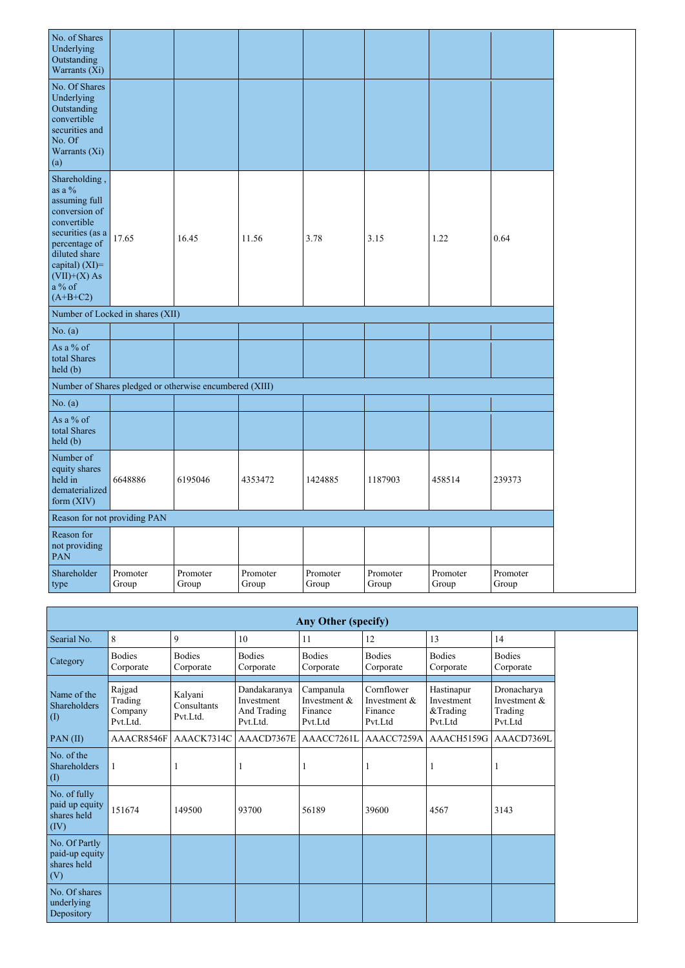| No. of Shares<br>Underlying<br>Outstanding<br>Warrants (Xi)                                                                                                                                  |                                  |                                                         |                   |                   |                   |                   |                   |
|----------------------------------------------------------------------------------------------------------------------------------------------------------------------------------------------|----------------------------------|---------------------------------------------------------|-------------------|-------------------|-------------------|-------------------|-------------------|
| No. Of Shares<br>Underlying<br>Outstanding<br>convertible<br>securities and<br>No. Of<br>Warrants (Xi)<br>(a)                                                                                |                                  |                                                         |                   |                   |                   |                   |                   |
| Shareholding,<br>as a %<br>assuming full<br>conversion of<br>convertible<br>securities (as a<br>percentage of<br>diluted share<br>capital) (XI)=<br>$(VII)+(X)$ As<br>$a\%$ of<br>$(A+B+C2)$ | 17.65                            | 16.45                                                   | 11.56             | 3.78              | 3.15              | 1.22              | 0.64              |
|                                                                                                                                                                                              | Number of Locked in shares (XII) |                                                         |                   |                   |                   |                   |                   |
| No. $(a)$                                                                                                                                                                                    |                                  |                                                         |                   |                   |                   |                   |                   |
| As a % of<br>total Shares<br>held (b)                                                                                                                                                        |                                  |                                                         |                   |                   |                   |                   |                   |
|                                                                                                                                                                                              |                                  | Number of Shares pledged or otherwise encumbered (XIII) |                   |                   |                   |                   |                   |
| No. (a)                                                                                                                                                                                      |                                  |                                                         |                   |                   |                   |                   |                   |
| As a % of<br>total Shares<br>held(b)                                                                                                                                                         |                                  |                                                         |                   |                   |                   |                   |                   |
| Number of<br>equity shares<br>held in<br>dematerialized<br>form (XIV)                                                                                                                        | 6648886                          | 6195046                                                 | 4353472           | 1424885           | 1187903           | 458514            | 239373            |
| Reason for not providing PAN                                                                                                                                                                 |                                  |                                                         |                   |                   |                   |                   |                   |
| Reason for<br>not providing<br>PAN                                                                                                                                                           |                                  |                                                         |                   |                   |                   |                   |                   |
| Shareholder<br>type                                                                                                                                                                          | Promoter<br>Group                | Promoter<br>Group                                       | Promoter<br>Group | Promoter<br>Group | Promoter<br>Group | Promoter<br>Group | Promoter<br>Group |

| <b>Any Other (specify)</b>                            |                                          |                                    |                                                       |                                                   |                                                    |                                                 |                                                     |  |  |  |  |  |
|-------------------------------------------------------|------------------------------------------|------------------------------------|-------------------------------------------------------|---------------------------------------------------|----------------------------------------------------|-------------------------------------------------|-----------------------------------------------------|--|--|--|--|--|
| Searial No.                                           | 8                                        | 9                                  | 10                                                    | 11                                                | 12                                                 | 13                                              | 14                                                  |  |  |  |  |  |
| Category                                              | <b>Bodies</b><br>Corporate               | <b>Bodies</b><br>Corporate         | <b>Bodies</b><br>Corporate                            | <b>Bodies</b><br>Corporate                        | <b>Bodies</b><br>Corporate                         | <b>Bodies</b><br>Corporate                      | <b>Bodies</b><br>Corporate                          |  |  |  |  |  |
| Name of the<br>Shareholders<br>(I)                    | Rajgad<br>Trading<br>Company<br>Pvt.Ltd. | Kalyani<br>Consultants<br>Pvt.Ltd. | Dandakaranya<br>Investment<br>And Trading<br>Pvt.Ltd. | Campanula<br>Investment $&$<br>Finance<br>Pvt.Ltd | Cornflower<br>Investment $&$<br>Finance<br>Pvt.Ltd | Hastinapur<br>Investment<br>&Trading<br>Pvt.Ltd | Dronacharya<br>Investment $&$<br>Trading<br>Pvt.Ltd |  |  |  |  |  |
| $PAN$ (II)                                            | AAACR8546F                               | AAACK7314C                         | AAACD7367E                                            | AAACC7261L                                        | AAACC7259A                                         | AAACH5159G                                      | AAACD7369L                                          |  |  |  |  |  |
| No. of the<br>Shareholders<br>(I)                     | $\mathbf{1}$                             |                                    |                                                       |                                                   |                                                    |                                                 | - 1                                                 |  |  |  |  |  |
| No. of fully<br>paid up equity<br>shares held<br>(IV) | 151674                                   | 149500                             | 93700                                                 | 56189                                             | 39600                                              | 4567                                            | 3143                                                |  |  |  |  |  |
| No. Of Partly<br>paid-up equity<br>shares held<br>(V) |                                          |                                    |                                                       |                                                   |                                                    |                                                 |                                                     |  |  |  |  |  |
| No. Of shares<br>underlying<br>Depository             |                                          |                                    |                                                       |                                                   |                                                    |                                                 |                                                     |  |  |  |  |  |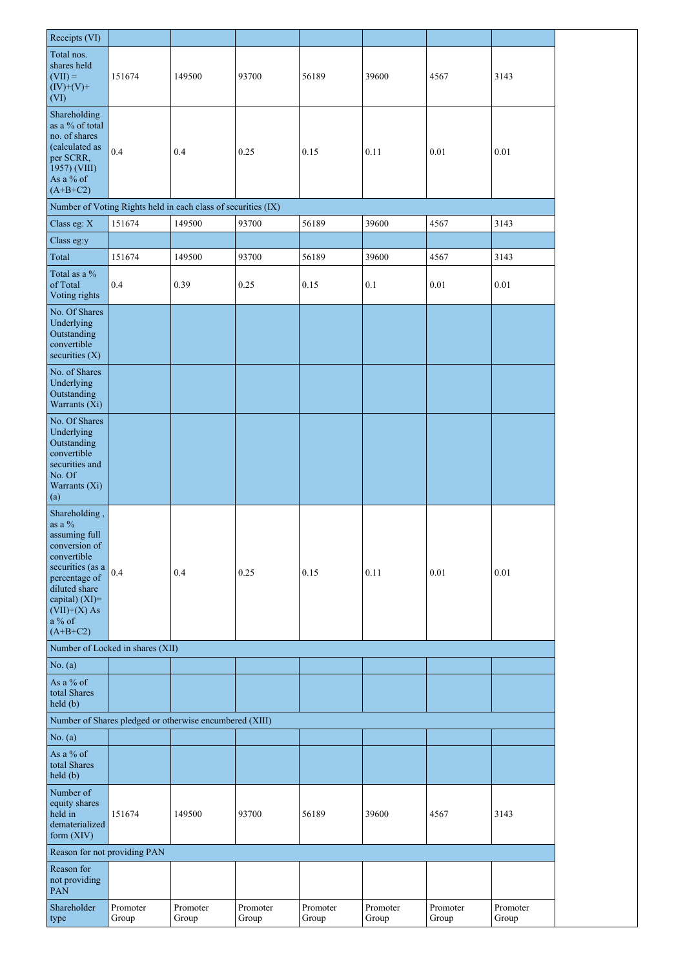| Receipts (VI)                                                                                                                                                                                      |                                  |                                                               |                   |                   |                   |                   |                   |
|----------------------------------------------------------------------------------------------------------------------------------------------------------------------------------------------------|----------------------------------|---------------------------------------------------------------|-------------------|-------------------|-------------------|-------------------|-------------------|
|                                                                                                                                                                                                    |                                  |                                                               |                   |                   |                   |                   |                   |
| Total nos.<br>shares held<br>$(VII) =$<br>$(IV)+(V)+$<br>(VI)                                                                                                                                      | 151674                           | 149500                                                        | 93700             | 56189             | 39600             | 4567              | 3143              |
| Shareholding<br>as a % of total<br>no. of shares<br>(calculated as<br>per SCRR,<br>1957) (VIII)<br>As a % of<br>$(A+B+C2)$                                                                         | $0.4\,$                          | 0.4                                                           | 0.25              | 0.15              | 0.11              | 0.01              | 0.01              |
|                                                                                                                                                                                                    |                                  | Number of Voting Rights held in each class of securities (IX) |                   |                   |                   |                   |                   |
| Class eg: X                                                                                                                                                                                        | 151674                           | 149500                                                        | 93700             | 56189             | 39600             | 4567              | 3143              |
|                                                                                                                                                                                                    |                                  |                                                               |                   |                   |                   |                   |                   |
| Class eg:y                                                                                                                                                                                         |                                  |                                                               |                   |                   |                   |                   |                   |
| Total                                                                                                                                                                                              | 151674                           | 149500                                                        | 93700             | 56189             | 39600             | 4567              | 3143              |
| Total as a %<br>of Total<br>Voting rights                                                                                                                                                          | 0.4                              | 0.39                                                          | 0.25              | 0.15              | 0.1               | 0.01              | 0.01              |
| No. Of Shares<br>Underlying<br>Outstanding<br>convertible<br>securities $(X)$                                                                                                                      |                                  |                                                               |                   |                   |                   |                   |                   |
| No. of Shares<br>Underlying<br>Outstanding<br>Warrants (Xi)                                                                                                                                        |                                  |                                                               |                   |                   |                   |                   |                   |
| No. Of Shares<br>Underlying<br>Outstanding<br>convertible<br>securities and<br>No. Of<br>Warrants (Xi)<br>(a)                                                                                      |                                  |                                                               |                   |                   |                   |                   |                   |
| Shareholding,<br>as a $\%$<br>assuming full<br>conversion of<br>convertible<br>securities (as a<br>percentage of<br>diluted share<br>capital) $(XI)$ =<br>$(VII)+(X)$ As<br>$a\%$ of<br>$(A+B+C2)$ | 0.4                              | 0.4                                                           | 0.25              | 0.15              | 0.11              | 0.01              | 0.01              |
|                                                                                                                                                                                                    | Number of Locked in shares (XII) |                                                               |                   |                   |                   |                   |                   |
| No. $(a)$                                                                                                                                                                                          |                                  |                                                               |                   |                   |                   |                   |                   |
| As a % of<br>total Shares<br>held(b)                                                                                                                                                               |                                  |                                                               |                   |                   |                   |                   |                   |
|                                                                                                                                                                                                    |                                  | Number of Shares pledged or otherwise encumbered (XIII)       |                   |                   |                   |                   |                   |
| No. (a)                                                                                                                                                                                            |                                  |                                                               |                   |                   |                   |                   |                   |
| As a % of<br>total Shares<br>held(b)                                                                                                                                                               |                                  |                                                               |                   |                   |                   |                   |                   |
| Number of<br>equity shares<br>held in<br>dematerialized<br>form $(XIV)$                                                                                                                            | 151674                           | 149500                                                        | 93700             | 56189             | 39600             | 4567              | 3143              |
| Reason for not providing PAN                                                                                                                                                                       |                                  |                                                               |                   |                   |                   |                   |                   |
| Reason for<br>not providing<br>PAN                                                                                                                                                                 |                                  |                                                               |                   |                   |                   |                   |                   |
| Shareholder<br>type                                                                                                                                                                                | Promoter<br>Group                | Promoter<br>Group                                             | Promoter<br>Group | Promoter<br>Group | Promoter<br>Group | Promoter<br>Group | Promoter<br>Group |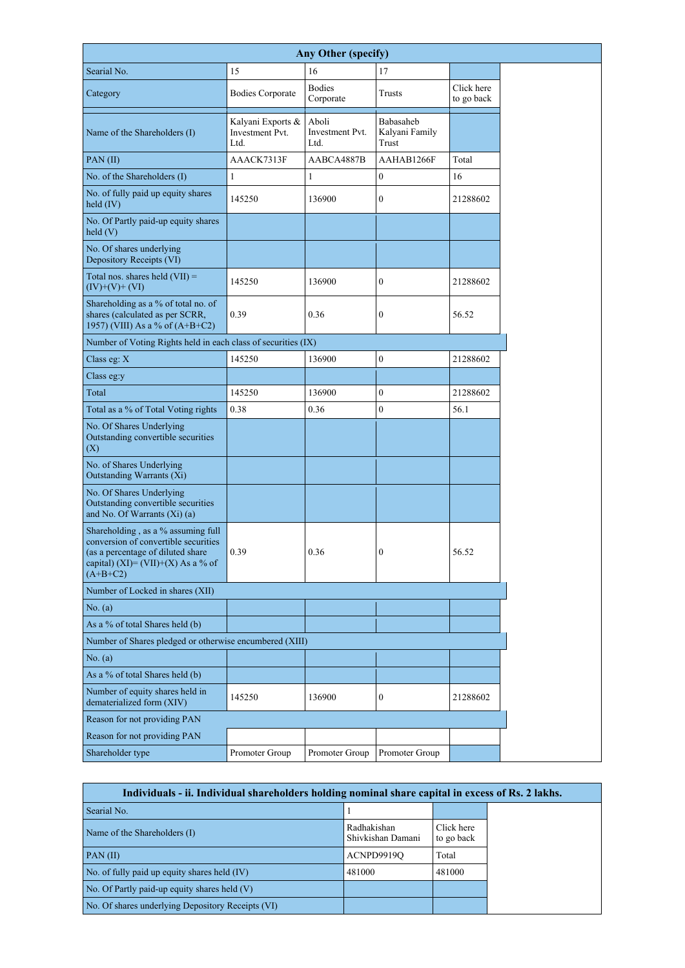|                                                                                                                                                                     |                                                     | <b>Any Other (specify)</b>              |                                      |                          |
|---------------------------------------------------------------------------------------------------------------------------------------------------------------------|-----------------------------------------------------|-----------------------------------------|--------------------------------------|--------------------------|
| Searial No.                                                                                                                                                         | 15                                                  | 16                                      | 17                                   |                          |
| Category                                                                                                                                                            | <b>Bodies Corporate</b>                             | <b>Bodies</b><br>Corporate              | <b>Trusts</b>                        | Click here<br>to go back |
| Name of the Shareholders (I)                                                                                                                                        | Kalyani Exports &<br><b>Investment Pvt.</b><br>Ltd. | Aboli<br><b>Investment Pvt.</b><br>Ltd. | Babasaheb<br>Kalyani Family<br>Trust |                          |
| PAN(II)                                                                                                                                                             | AAACK7313F                                          | AABCA4887B                              | AAHAB1266F                           | Total                    |
| No. of the Shareholders (I)                                                                                                                                         | $\mathbf{1}$                                        | $\mathbf{1}$                            | $\boldsymbol{0}$                     | 16                       |
| No. of fully paid up equity shares<br>held $(IV)$                                                                                                                   | 145250                                              | 136900                                  | $\mathbf{0}$                         | 21288602                 |
| No. Of Partly paid-up equity shares<br>$\text{held}(V)$                                                                                                             |                                                     |                                         |                                      |                          |
| No. Of shares underlying<br>Depository Receipts (VI)                                                                                                                |                                                     |                                         |                                      |                          |
| Total nos. shares held $(VII)$ =<br>$(IV)+(V)+(VI)$                                                                                                                 | 145250                                              | 136900                                  | $\overline{0}$                       | 21288602                 |
| Shareholding as a % of total no. of<br>shares (calculated as per SCRR,<br>1957) (VIII) As a % of $(A+B+C2)$                                                         | 0.39                                                | 0.36                                    | $\overline{0}$                       | 56.52                    |
| Number of Voting Rights held in each class of securities (IX)                                                                                                       |                                                     |                                         |                                      |                          |
| Class eg: $X$                                                                                                                                                       | 145250                                              | 136900                                  | $\boldsymbol{0}$                     | 21288602                 |
| Class eg:y                                                                                                                                                          |                                                     |                                         |                                      |                          |
| Total                                                                                                                                                               | 145250                                              | 136900                                  | $\boldsymbol{0}$                     | 21288602                 |
| Total as a % of Total Voting rights                                                                                                                                 | 0.38                                                | 0.36                                    | $\boldsymbol{0}$                     | 56.1                     |
| No. Of Shares Underlying<br>Outstanding convertible securities<br>(X)                                                                                               |                                                     |                                         |                                      |                          |
| No. of Shares Underlying<br><b>Outstanding Warrants (Xi)</b>                                                                                                        |                                                     |                                         |                                      |                          |
| No. Of Shares Underlying<br>Outstanding convertible securities<br>and No. Of Warrants (Xi) (a)                                                                      |                                                     |                                         |                                      |                          |
| Shareholding, as a % assuming full<br>conversion of convertible securities<br>(as a percentage of diluted share<br>capital) (XI)= (VII)+(X) As a % of<br>$(A+B+C2)$ | 0.39                                                | 0.36                                    | $\boldsymbol{0}$                     | 56.52                    |
| Number of Locked in shares (XII)                                                                                                                                    |                                                     |                                         |                                      |                          |
| No. (a)                                                                                                                                                             |                                                     |                                         |                                      |                          |
| As a % of total Shares held (b)                                                                                                                                     |                                                     |                                         |                                      |                          |
| Number of Shares pledged or otherwise encumbered (XIII)                                                                                                             |                                                     |                                         |                                      |                          |
| No. (a)                                                                                                                                                             |                                                     |                                         |                                      |                          |
| As a % of total Shares held (b)                                                                                                                                     |                                                     |                                         |                                      |                          |
| Number of equity shares held in<br>dematerialized form (XIV)                                                                                                        | 145250                                              | 136900                                  | $\boldsymbol{0}$                     | 21288602                 |
| Reason for not providing PAN                                                                                                                                        |                                                     |                                         |                                      |                          |
| Reason for not providing PAN                                                                                                                                        |                                                     |                                         |                                      |                          |
| Shareholder type                                                                                                                                                    | Promoter Group                                      | Promoter Group                          | Promoter Group                       |                          |

| Individuals - ii. Individual shareholders holding nominal share capital in excess of Rs. 2 lakhs. |                                  |                          |
|---------------------------------------------------------------------------------------------------|----------------------------------|--------------------------|
| Searial No.                                                                                       |                                  |                          |
| Name of the Shareholders (I)                                                                      | Radhakishan<br>Shivkishan Damani | Click here<br>to go back |
| PAN(II)                                                                                           | ACNPD9919Q                       | Total                    |
| No. of fully paid up equity shares held (IV)                                                      | 481000                           | 481000                   |
| No. Of Partly paid-up equity shares held $(V)$                                                    |                                  |                          |
| No. Of shares underlying Depository Receipts (VI)                                                 |                                  |                          |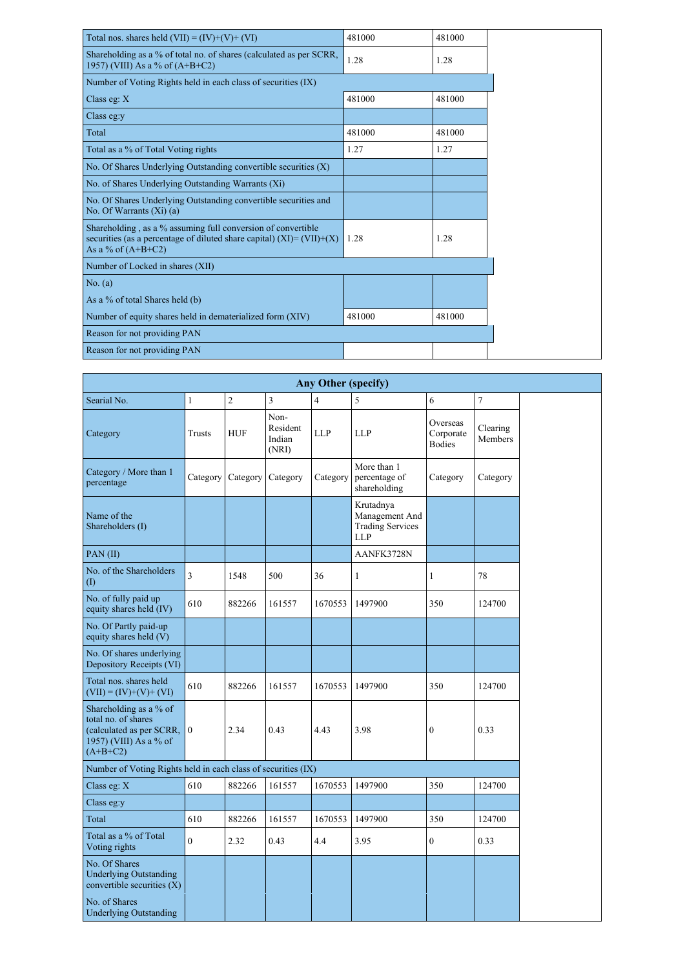| Total nos. shares held $(VII) = (IV)+(V)+(VI)$                                                                                                                   | 481000 | 481000 |  |  |  |  |  |  |  |
|------------------------------------------------------------------------------------------------------------------------------------------------------------------|--------|--------|--|--|--|--|--|--|--|
| Shareholding as a % of total no. of shares (calculated as per SCRR,<br>1957) (VIII) As a % of $(A+B+C2)$                                                         | 1.28   | 1.28   |  |  |  |  |  |  |  |
| Number of Voting Rights held in each class of securities (IX)                                                                                                    |        |        |  |  |  |  |  |  |  |
| Class eg: $X$                                                                                                                                                    | 481000 | 481000 |  |  |  |  |  |  |  |
| Class eg:y                                                                                                                                                       |        |        |  |  |  |  |  |  |  |
| Total                                                                                                                                                            | 481000 | 481000 |  |  |  |  |  |  |  |
| Total as a % of Total Voting rights                                                                                                                              | 1.27   | 1.27   |  |  |  |  |  |  |  |
| No. Of Shares Underlying Outstanding convertible securities (X)                                                                                                  |        |        |  |  |  |  |  |  |  |
| No. of Shares Underlying Outstanding Warrants (Xi)                                                                                                               |        |        |  |  |  |  |  |  |  |
| No. Of Shares Underlying Outstanding convertible securities and<br>No. Of Warrants $(X_i)$ (a)                                                                   |        |        |  |  |  |  |  |  |  |
| Shareholding, as a % assuming full conversion of convertible<br>securities (as a percentage of diluted share capital) $(XI) = (VII)+(X)$<br>As a % of $(A+B+C2)$ | 1.28   | 1.28   |  |  |  |  |  |  |  |
| Number of Locked in shares (XII)                                                                                                                                 |        |        |  |  |  |  |  |  |  |
| No. (a)                                                                                                                                                          |        |        |  |  |  |  |  |  |  |
| As a % of total Shares held (b)                                                                                                                                  |        |        |  |  |  |  |  |  |  |
| Number of equity shares held in dematerialized form (XIV)                                                                                                        | 481000 | 481000 |  |  |  |  |  |  |  |
| Reason for not providing PAN                                                                                                                                     |        |        |  |  |  |  |  |  |  |
| Reason for not providing PAN                                                                                                                                     |        |        |  |  |  |  |  |  |  |

| <b>Any Other (specify)</b>                                                                                           |                  |                |                                     |                |                                                                      |                                        |                     |  |  |  |  |  |
|----------------------------------------------------------------------------------------------------------------------|------------------|----------------|-------------------------------------|----------------|----------------------------------------------------------------------|----------------------------------------|---------------------|--|--|--|--|--|
| Searial No.                                                                                                          | $\mathbf{1}$     | $\overline{2}$ | $\overline{3}$                      | $\overline{4}$ | 5                                                                    | 6                                      | $\overline{7}$      |  |  |  |  |  |
| Category                                                                                                             | <b>Trusts</b>    | <b>HUF</b>     | Non-<br>Resident<br>Indian<br>(NRI) | <b>LLP</b>     | <b>LLP</b>                                                           | Overseas<br>Corporate<br><b>Bodies</b> | Clearing<br>Members |  |  |  |  |  |
| Category / More than 1<br>percentage                                                                                 | Category         | Category       | Category                            | Category       | More than 1<br>percentage of<br>shareholding                         | Category                               | Category            |  |  |  |  |  |
| Name of the<br>Shareholders (I)                                                                                      |                  |                |                                     |                | Krutadnya<br>Management And<br><b>Trading Services</b><br><b>LLP</b> |                                        |                     |  |  |  |  |  |
| PAN(II)                                                                                                              |                  |                |                                     |                | AANFK3728N                                                           |                                        |                     |  |  |  |  |  |
| No. of the Shareholders<br>$\left( \mathrm{I}\right)$                                                                | 3                | 1548           | 500                                 | 36             | 1                                                                    | 1                                      | 78                  |  |  |  |  |  |
| No. of fully paid up<br>equity shares held (IV)                                                                      | 610              | 882266         | 161557                              | 1670553        | 1497900                                                              | 350                                    | 124700              |  |  |  |  |  |
| No. Of Partly paid-up<br>equity shares held (V)                                                                      |                  |                |                                     |                |                                                                      |                                        |                     |  |  |  |  |  |
| No. Of shares underlying<br>Depository Receipts (VI)                                                                 |                  |                |                                     |                |                                                                      |                                        |                     |  |  |  |  |  |
| Total nos. shares held<br>$(VII) = (IV)+(V)+(VI)$                                                                    | 610              | 882266         | 161557                              | 1670553        | 1497900                                                              | 350                                    | 124700              |  |  |  |  |  |
| Shareholding as a $\%$ of<br>total no. of shares<br>(calculated as per SCRR,<br>1957) (VIII) As a % of<br>$(A+B+C2)$ | $\mathbf{0}$     | 2.34           | 0.43                                | 4.43           | 3.98                                                                 | $\boldsymbol{0}$                       | 0.33                |  |  |  |  |  |
| Number of Voting Rights held in each class of securities (IX)                                                        |                  |                |                                     |                |                                                                      |                                        |                     |  |  |  |  |  |
| Class eg: $X$                                                                                                        | 610              | 882266         | 161557                              | 1670553        | 1497900                                                              | 350                                    | 124700              |  |  |  |  |  |
| Class eg:y                                                                                                           |                  |                |                                     |                |                                                                      |                                        |                     |  |  |  |  |  |
| Total                                                                                                                | 610              | 882266         | 161557                              | 1670553        | 1497900                                                              | 350                                    | 124700              |  |  |  |  |  |
| Total as a % of Total<br>Voting rights                                                                               | $\boldsymbol{0}$ | 2.32           | 0.43                                | 4.4            | 3.95                                                                 | $\boldsymbol{0}$                       | 0.33                |  |  |  |  |  |
| No. Of Shares<br><b>Underlying Outstanding</b><br>convertible securities $(X)$                                       |                  |                |                                     |                |                                                                      |                                        |                     |  |  |  |  |  |
| No. of Shares<br><b>Underlying Outstanding</b>                                                                       |                  |                |                                     |                |                                                                      |                                        |                     |  |  |  |  |  |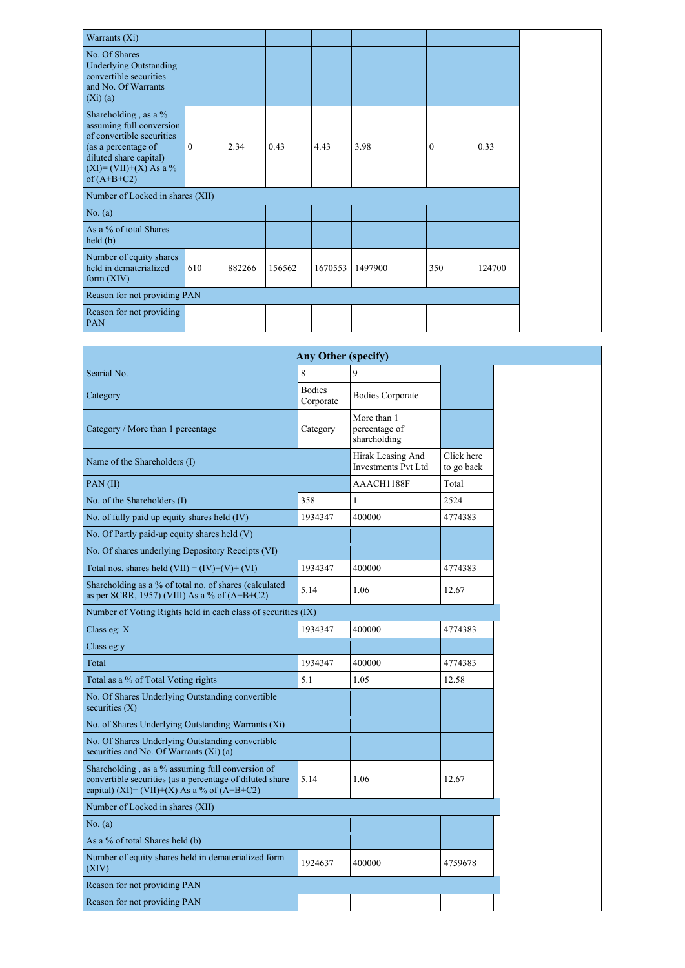| Warrants (Xi)                                                                                                                                                                                                                                                                                |                |      |      |      |      |              |      |
|----------------------------------------------------------------------------------------------------------------------------------------------------------------------------------------------------------------------------------------------------------------------------------------------|----------------|------|------|------|------|--------------|------|
| No. Of Shares<br><b>Underlying Outstanding</b><br>convertible securities<br>and No. Of Warrants<br>(Xi)(a)                                                                                                                                                                                   |                |      |      |      |      |              |      |
| Shareholding, as a %<br>assuming full conversion<br>of convertible securities<br>(as a percentage of<br>diluted share capital)<br>$(XI) = (VII)+(X) As a %$<br>of $(A+B+C2)$                                                                                                                 | $\overline{0}$ | 2.34 | 0.43 | 4.43 | 3.98 | $\mathbf{0}$ | 0.33 |
| Number of Locked in shares (XII)<br>No. $(a)$<br>As a % of total Shares<br>held(b)<br>Number of equity shares<br>held in dematerialized<br>610<br>350<br>882266<br>156562<br>1670553<br>124700<br>1497900<br>form $(XIV)$<br>Reason for not providing PAN<br>Reason for not providing<br>PAN |                |      |      |      |      |              |      |
|                                                                                                                                                                                                                                                                                              |                |      |      |      |      |              |      |
|                                                                                                                                                                                                                                                                                              |                |      |      |      |      |              |      |
|                                                                                                                                                                                                                                                                                              |                |      |      |      |      |              |      |
|                                                                                                                                                                                                                                                                                              |                |      |      |      |      |              |      |
|                                                                                                                                                                                                                                                                                              |                |      |      |      |      |              |      |

| <b>Any Other (specify)</b>                                                                                                                                  |                            |                                                 |                          |  |  |  |  |  |  |  |
|-------------------------------------------------------------------------------------------------------------------------------------------------------------|----------------------------|-------------------------------------------------|--------------------------|--|--|--|--|--|--|--|
| Searial No.                                                                                                                                                 | 8                          | 9                                               |                          |  |  |  |  |  |  |  |
| Category                                                                                                                                                    | <b>Bodies</b><br>Corporate | <b>Bodies Corporate</b>                         |                          |  |  |  |  |  |  |  |
| Category / More than 1 percentage                                                                                                                           | Category                   | More than 1<br>percentage of<br>shareholding    |                          |  |  |  |  |  |  |  |
| Name of the Shareholders (I)                                                                                                                                |                            | Hirak Leasing And<br><b>Investments Pvt Ltd</b> | Click here<br>to go back |  |  |  |  |  |  |  |
| PAN(II)                                                                                                                                                     |                            | AAACH1188F                                      | Total                    |  |  |  |  |  |  |  |
| No. of the Shareholders (I)                                                                                                                                 | 358                        | 1                                               | 2524                     |  |  |  |  |  |  |  |
| No. of fully paid up equity shares held (IV)                                                                                                                | 1934347                    | 400000                                          | 4774383                  |  |  |  |  |  |  |  |
| No. Of Partly paid-up equity shares held $(V)$                                                                                                              |                            |                                                 |                          |  |  |  |  |  |  |  |
| No. Of shares underlying Depository Receipts (VI)                                                                                                           |                            |                                                 |                          |  |  |  |  |  |  |  |
| Total nos. shares held $(VII) = (IV)+(V)+(VI)$                                                                                                              | 1934347                    | 400000                                          | 4774383                  |  |  |  |  |  |  |  |
| Shareholding as a % of total no. of shares (calculated<br>as per SCRR, 1957) (VIII) As a % of $(A+B+C2)$                                                    | 5.14                       | 1.06                                            | 12.67                    |  |  |  |  |  |  |  |
| Number of Voting Rights held in each class of securities (IX)                                                                                               |                            |                                                 |                          |  |  |  |  |  |  |  |
| Class eg: $X$                                                                                                                                               | 1934347                    | 400000                                          | 4774383                  |  |  |  |  |  |  |  |
| Class eg:y                                                                                                                                                  |                            |                                                 |                          |  |  |  |  |  |  |  |
| Total                                                                                                                                                       | 1934347                    | 400000                                          | 4774383                  |  |  |  |  |  |  |  |
| Total as a % of Total Voting rights                                                                                                                         | 5.1                        | 1.05                                            | 12.58                    |  |  |  |  |  |  |  |
| No. Of Shares Underlying Outstanding convertible<br>securities $(X)$                                                                                        |                            |                                                 |                          |  |  |  |  |  |  |  |
| No. of Shares Underlying Outstanding Warrants (Xi)                                                                                                          |                            |                                                 |                          |  |  |  |  |  |  |  |
| No. Of Shares Underlying Outstanding convertible<br>securities and No. Of Warrants $(Xi)$ (a)                                                               |                            |                                                 |                          |  |  |  |  |  |  |  |
| Shareholding, as a % assuming full conversion of<br>convertible securities (as a percentage of diluted share<br>capital) (XI)= (VII)+(X) As a % of (A+B+C2) | 5.14                       | 1.06                                            | 12.67                    |  |  |  |  |  |  |  |
| Number of Locked in shares (XII)                                                                                                                            |                            |                                                 |                          |  |  |  |  |  |  |  |
| No. (a)                                                                                                                                                     |                            |                                                 |                          |  |  |  |  |  |  |  |
| As a % of total Shares held (b)                                                                                                                             |                            |                                                 |                          |  |  |  |  |  |  |  |
| Number of equity shares held in dematerialized form<br>(XIV)                                                                                                | 1924637                    | 400000                                          | 4759678                  |  |  |  |  |  |  |  |
| Reason for not providing PAN                                                                                                                                |                            |                                                 |                          |  |  |  |  |  |  |  |
| Reason for not providing PAN                                                                                                                                |                            |                                                 |                          |  |  |  |  |  |  |  |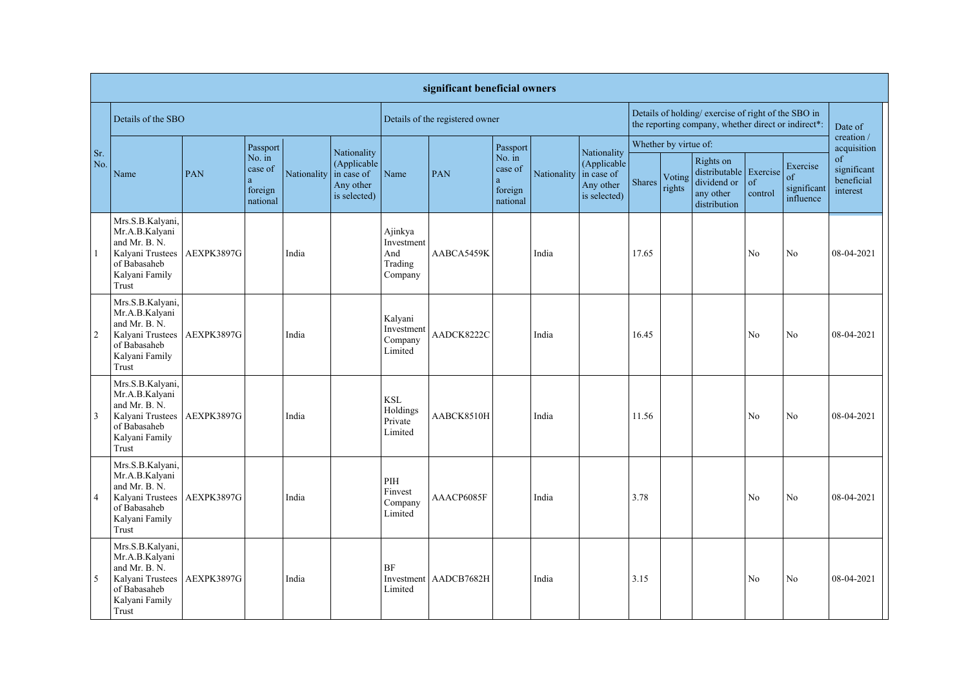|                | significant beneficial owners                                                                                      |                    |                                               |                        |                                          |                                                    |                                 |                                               |             |                                                                       |                                                                                                            |                  |                                                                                   |                |                                            |                                             |
|----------------|--------------------------------------------------------------------------------------------------------------------|--------------------|-----------------------------------------------|------------------------|------------------------------------------|----------------------------------------------------|---------------------------------|-----------------------------------------------|-------------|-----------------------------------------------------------------------|------------------------------------------------------------------------------------------------------------|------------------|-----------------------------------------------------------------------------------|----------------|--------------------------------------------|---------------------------------------------|
|                |                                                                                                                    | Details of the SBO |                                               |                        |                                          |                                                    | Details of the registered owner |                                               |             |                                                                       | Details of holding/ exercise of right of the SBO in<br>the reporting company, whether direct or indirect*: |                  |                                                                                   |                |                                            | Date of                                     |
|                |                                                                                                                    |                    | Passport                                      |                        | Nationality                              |                                                    |                                 | Passport                                      |             |                                                                       | Whether by virtue of:                                                                                      |                  |                                                                                   |                |                                            | creation /<br>acquisition                   |
| Sr.<br>No.     | Name                                                                                                               | PAN                | No. in<br>case of<br>a<br>foreign<br>national | Nationality in case of | (Applicable<br>Any other<br>is selected) | Name                                               | PAN                             | No. in<br>case of<br>a<br>foreign<br>national | Nationality | Nationality<br>(Applicable<br>in case of<br>Any other<br>is selected) | Shares                                                                                                     | Voting<br>rights | Rights on<br>$distributable$ Exercise<br>dividend or<br>any other<br>distribution | of<br>control  | Exercise<br>of<br>significant<br>influence | of<br>significant<br>beneficial<br>interest |
|                | Mrs.S.B.Kalyani,<br>Mr.A.B.Kalyani<br>and Mr. B. N.<br>Kalyani Trustees<br>of Babasaheb<br>Kalyani Family<br>Trust | AEXPK3897G         |                                               | India                  |                                          | Ajinkya<br>Investment<br>And<br>Trading<br>Company | AABCA5459K                      |                                               | India       |                                                                       | 17.65                                                                                                      |                  |                                                                                   | N <sub>o</sub> | No                                         | 08-04-2021                                  |
| 2              | Mrs.S.B.Kalyani,<br>Mr.A.B.Kalyani<br>and Mr. B. N.<br>Kalyani Trustees<br>of Babasaheb<br>Kalyani Family<br>Trust | AEXPK3897G         |                                               | India                  |                                          | Kalyani<br>Investment<br>Company<br>Limited        | AADCK8222C                      |                                               | India       |                                                                       | 16.45                                                                                                      |                  |                                                                                   | N <sub>o</sub> | No                                         | 08-04-2021                                  |
| $\vert 3$      | Mrs.S.B.Kalyani,<br>Mr.A.B.Kalyani<br>and Mr. B. N.<br>Kalyani Trustees<br>of Babasaheb<br>Kalyani Family<br>Trust | AEXPK3897G         |                                               | India                  |                                          | <b>KSL</b><br>Holdings<br>Private<br>Limited       | AABCK8510H                      |                                               | India       |                                                                       | 11.56                                                                                                      |                  |                                                                                   | No             | No                                         | 08-04-2021                                  |
| $\vert 4$      | Mrs.S.B.Kalyani,<br>Mr.A.B.Kalyani<br>and Mr. B. N.<br>Kalyani Trustees<br>of Babasaheb<br>Kalyani Family<br>Trust | AEXPK3897G         |                                               | India                  |                                          | PIH<br>Finvest<br>Company<br>Limited               | AAACP6085F                      |                                               | India       |                                                                       | 3.78                                                                                                       |                  |                                                                                   | No             | N <sub>o</sub>                             | 08-04-2021                                  |
| $\overline{5}$ | Mrs.S.B.Kalyani,<br>Mr.A.B.Kalyani<br>and Mr. B. N.<br>Kalyani Trustees<br>of Babasaheb<br>Kalyani Family<br>Trust | AEXPK3897G         |                                               | India                  |                                          | <b>BF</b><br>Limited                               | Investment   AADCB7682H         |                                               | India       |                                                                       | 3.15                                                                                                       |                  |                                                                                   | N <sub>o</sub> | N <sub>o</sub>                             | 08-04-2021                                  |